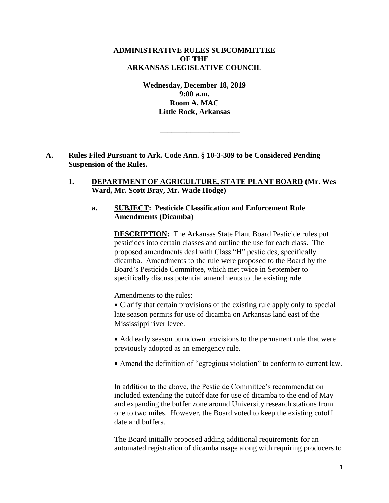## **ADMINISTRATIVE RULES SUBCOMMITTEE OF THE ARKANSAS LEGISLATIVE COUNCIL**

**Wednesday, December 18, 2019 9:00 a.m. Room A, MAC Little Rock, Arkansas**

**\_\_\_\_\_\_\_\_\_\_\_\_\_\_\_\_\_\_\_\_\_**

- **A. Rules Filed Pursuant to Ark. Code Ann. § 10-3-309 to be Considered Pending Suspension of the Rules.**
	- **1. DEPARTMENT OF AGRICULTURE, STATE PLANT BOARD (Mr. Wes Ward, Mr. Scott Bray, Mr. Wade Hodge)**

## **a. SUBJECT: Pesticide Classification and Enforcement Rule Amendments (Dicamba)**

**DESCRIPTION:** The Arkansas State Plant Board Pesticide rules put pesticides into certain classes and outline the use for each class. The proposed amendments deal with Class "H" pesticides, specifically dicamba. Amendments to the rule were proposed to the Board by the Board's Pesticide Committee, which met twice in September to specifically discuss potential amendments to the existing rule.

Amendments to the rules:

 Clarify that certain provisions of the existing rule apply only to special late season permits for use of dicamba on Arkansas land east of the Mississippi river levee.

 Add early season burndown provisions to the permanent rule that were previously adopted as an emergency rule.

Amend the definition of "egregious violation" to conform to current law.

In addition to the above, the Pesticide Committee's recommendation included extending the cutoff date for use of dicamba to the end of May and expanding the buffer zone around University research stations from one to two miles. However, the Board voted to keep the existing cutoff date and buffers.

The Board initially proposed adding additional requirements for an automated registration of dicamba usage along with requiring producers to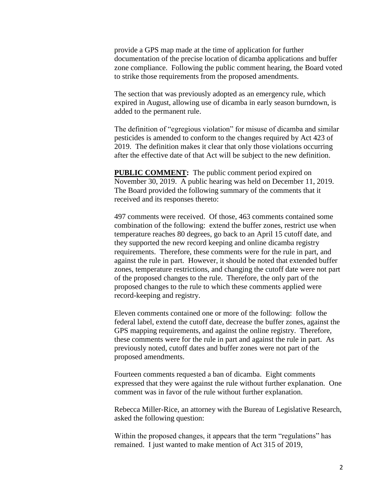provide a GPS map made at the time of application for further documentation of the precise location of dicamba applications and buffer zone compliance. Following the public comment hearing, the Board voted to strike those requirements from the proposed amendments.

The section that was previously adopted as an emergency rule, which expired in August, allowing use of dicamba in early season burndown, is added to the permanent rule.

The definition of "egregious violation" for misuse of dicamba and similar pesticides is amended to conform to the changes required by Act 423 of 2019. The definition makes it clear that only those violations occurring after the effective date of that Act will be subject to the new definition.

**PUBLIC COMMENT:** The public comment period expired on November 30, 2019. A public hearing was held on December 11, 2019. The Board provided the following summary of the comments that it received and its responses thereto:

497 comments were received. Of those, 463 comments contained some combination of the following: extend the buffer zones, restrict use when temperature reaches 80 degrees, go back to an April 15 cutoff date, and they supported the new record keeping and online dicamba registry requirements. Therefore, these comments were for the rule in part, and against the rule in part. However, it should be noted that extended buffer zones, temperature restrictions, and changing the cutoff date were not part of the proposed changes to the rule. Therefore, the only part of the proposed changes to the rule to which these comments applied were record-keeping and registry.

Eleven comments contained one or more of the following: follow the federal label, extend the cutoff date, decrease the buffer zones, against the GPS mapping requirements, and against the online registry. Therefore, these comments were for the rule in part and against the rule in part. As previously noted, cutoff dates and buffer zones were not part of the proposed amendments.

Fourteen comments requested a ban of dicamba. Eight comments expressed that they were against the rule without further explanation. One comment was in favor of the rule without further explanation.

Rebecca Miller-Rice, an attorney with the Bureau of Legislative Research, asked the following question:

Within the proposed changes, it appears that the term "regulations" has remained. I just wanted to make mention of Act 315 of 2019,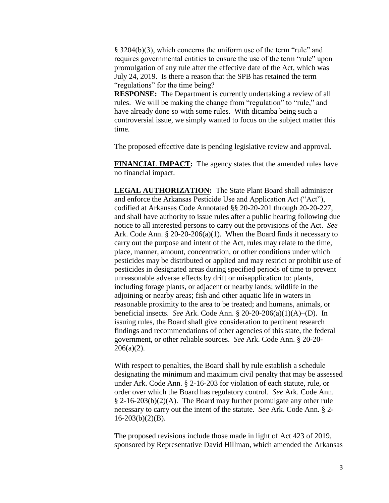§ 3204(b)(3), which concerns the uniform use of the term "rule" and requires governmental entities to ensure the use of the term "rule" upon promulgation of any rule after the effective date of the Act, which was July 24, 2019. Is there a reason that the SPB has retained the term "regulations" for the time being?

**RESPONSE:** The Department is currently undertaking a review of all rules. We will be making the change from "regulation" to "rule," and have already done so with some rules. With dicamba being such a controversial issue, we simply wanted to focus on the subject matter this time.

The proposed effective date is pending legislative review and approval.

**FINANCIAL IMPACT:** The agency states that the amended rules have no financial impact.

**LEGAL AUTHORIZATION:** The State Plant Board shall administer and enforce the Arkansas Pesticide Use and Application Act ("Act"), codified at Arkansas Code Annotated §§ 20-20-201 through 20-20-227, and shall have authority to issue rules after a public hearing following due notice to all interested persons to carry out the provisions of the Act. *See* Ark. Code Ann.  $\S 20-20-206(a)(1)$ . When the Board finds it necessary to carry out the purpose and intent of the Act, rules may relate to the time, place, manner, amount, concentration, or other conditions under which pesticides may be distributed or applied and may restrict or prohibit use of pesticides in designated areas during specified periods of time to prevent unreasonable adverse effects by drift or misapplication to: plants, including forage plants, or adjacent or nearby lands; wildlife in the adjoining or nearby areas; fish and other aquatic life in waters in reasonable proximity to the area to be treated; and humans, animals, or beneficial insects. *See* Ark. Code Ann. § 20-20-206(a)(1)(A)–(D). In issuing rules, the Board shall give consideration to pertinent research findings and recommendations of other agencies of this state, the federal government, or other reliable sources. *See* Ark. Code Ann. § 20-20-  $206(a)(2)$ .

With respect to penalties, the Board shall by rule establish a schedule designating the minimum and maximum civil penalty that may be assessed under Ark. Code Ann. § 2-16-203 for violation of each statute, rule, or order over which the Board has regulatory control. *See* Ark. Code Ann. § 2-16-203(b)(2)(A). The Board may further promulgate any other rule necessary to carry out the intent of the statute. *See* Ark. Code Ann. § 2-  $16-203(b)(2)(B)$ .

The proposed revisions include those made in light of Act 423 of 2019, sponsored by Representative David Hillman, which amended the Arkansas